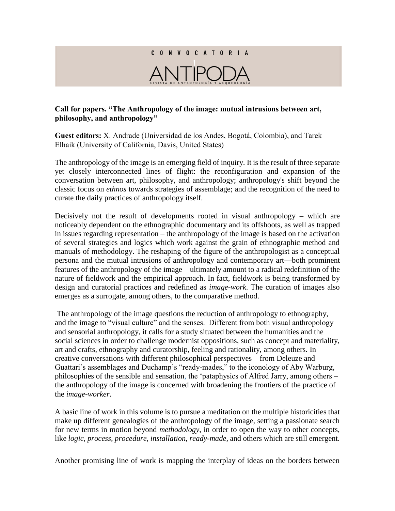## C O N V O C A T O R I A

## **Call for papers. "The Anthropology of the image: mutual intrusions between art, philosophy, and anthropology"**

**Guest editors:** X. Andrade (Universidad de los Andes, Bogotá, Colombia), and Tarek Elhaik (University of California, Davis, United States)

The anthropology of the image is an emerging field of inquiry. It is the result of three separate yet closely interconnected lines of flight: the reconfiguration and expansion of the conversation between art, philosophy, and anthropology; anthropology's shift beyond the classic focus on *ethnos* towards strategies of assemblage; and the recognition of the need to curate the daily practices of anthropology itself.

Decisively not the result of developments rooted in visual anthropology – which are noticeably dependent on the ethnographic documentary and its offshoots, as well as trapped in issues regarding representation – the anthropology of the image is based on the activation of several strategies and logics which work against the grain of ethnographic method and manuals of methodology. The reshaping of the figure of the anthropologist as a conceptual persona and the mutual intrusions of anthropology and contemporary art—both prominent features of the anthropology of the image—ultimately amount to a radical redefinition of the nature of fieldwork and the empirical approach. In fact, fieldwork is being transformed by design and curatorial practices and redefined as *image-work*. The curation of images also emerges as a surrogate, among others, to the comparative method.

The anthropology of the image questions the reduction of anthropology to ethnography, and the image to "visual culture" and the senses. Different from both visual anthropology and sensorial anthropology, it calls for a study situated between the humanities and the social sciences in order to challenge modernist oppositions, such as concept and materiality, art and crafts, ethnography and curatorship, feeling and rationality, among others. In creative conversations with different philosophical perspectives – from Deleuze and Guattari's assemblages and Duchamp's "ready-mades," to the iconology of Aby Warburg, philosophies of the sensible and sensation, the 'pataphysics of Alfred Jarry, among others – the anthropology of the image is concerned with broadening the frontiers of the practice of the *image-worker*.

A basic line of work in this volume is to pursue a meditation on the multiple historicities that make up different genealogies of the anthropology of the image, setting a passionate search for new terms in motion beyond *methodology*, in order to open the way to other concepts, like *logic, process, procedure, installation, ready-made,* and others which are still emergent.

Another promising line of work is mapping the interplay of ideas on the borders between